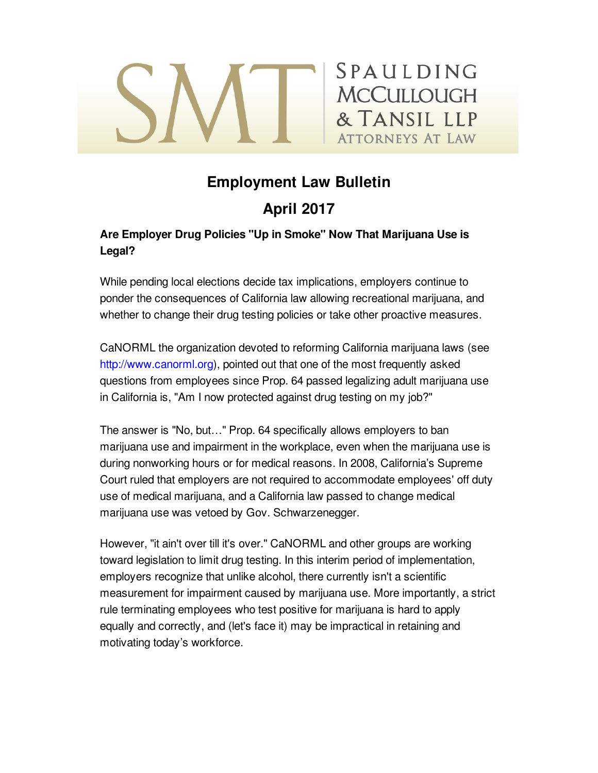# SPAULDING **MCCULLOUGH** & TANSIL LLP ATTORNEYS AT LAW

# **Employment Law Bulletin**

# **April 2017**

## **Are Employer Drug Policies "Up in Smoke" Now That Marijuana Use is Legal?**

While pending local elections decide tax implications, employers continue to ponder the consequences of California law allowing recreational marijuana, and whether to change their drug testing policies or take other proactive measures.

CaNORML the organization devoted to reforming California marijuana laws (see <http://www.canorml.org>), pointed out that one of the most frequently asked questions from employees since Prop. 64 passed legalizing adult marijuana use in California is, "Am I now protected against drug testing on my job?"

The answer is "No, but…" Prop. 64 specifically allows employers to ban marijuana use and impairment in the workplace, even when the marijuana use is during nonworking hours or for medical reasons. In 2008, California's Supreme Court ruled that employers are not required to accommodate employees' off duty use of medical marijuana, and a California law passed to change medical marijuana use was vetoed by Gov. Schwarzenegger.

However, "it ain't over till it's over." CaNORML and other groups are working toward legislation to limit drug testing. In this interim period of implementation, employers recognize that unlike alcohol, there currently isn't a scientific measurement for impairment caused by marijuana use. More importantly, a strict rule terminating employees who test positive for marijuana is hard to apply equally and correctly, and (let's face it) may be impractical in retaining and motivating today's workforce.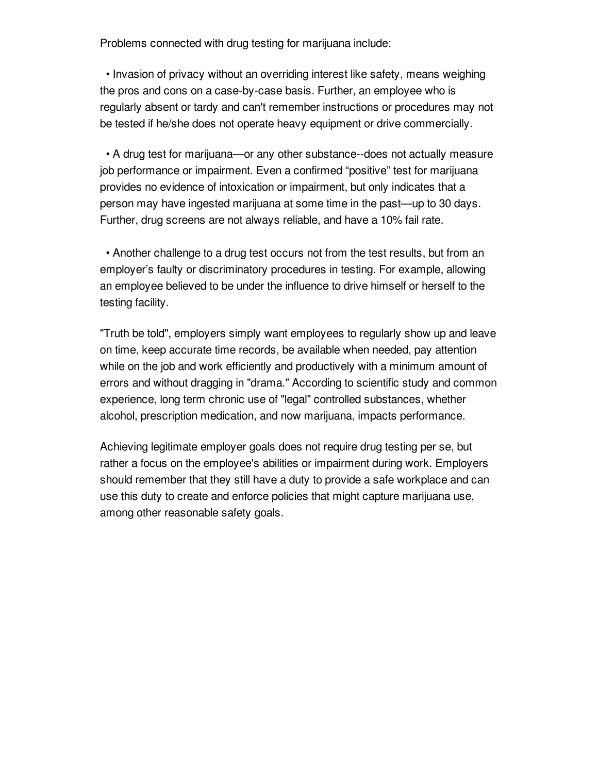Problems connected with drug testing for marijuana include:

 • Invasion of privacy without an overriding interest like safety, means weighing the pros and cons on a case-by-case basis. Further, an employee who is regularly absent or tardy and can't remember instructions or procedures may not be tested if he/she does not operate heavy equipment or drive commercially.

 • A drug test for marijuana—or any other substance--does not actually measure job performance or impairment. Even a confirmed "positive" test for marijuana provides no evidence of intoxication or impairment, but only indicates that a person may have ingested marijuana at some time in the past—up to 30 days. Further, drug screens are not always reliable, and have a 10% fail rate.

 • Another challenge to a drug test occurs not from the test results, but from an employer's faulty or discriminatory procedures in testing. For example, allowing an employee believed to be under the influence to drive himself or herself to the testing facility.

"Truth be told", employers simply want employees to regularly show up and leave on time, keep accurate time records, be available when needed, pay attention while on the job and work efficiently and productively with a minimum amount of errors and without dragging in "drama." According to scientific study and common experience, long term chronic use of "legal" controlled substances, whether alcohol, prescription medication, and now marijuana, impacts performance.

Achieving legitimate employer goals does not require drug testing per se, but rather a focus on the employee's abilities or impairment during work. Employers should remember that they still have a duty to provide a safe workplace and can use this duty to create and enforce policies that might capture marijuana use, among other reasonable safety goals.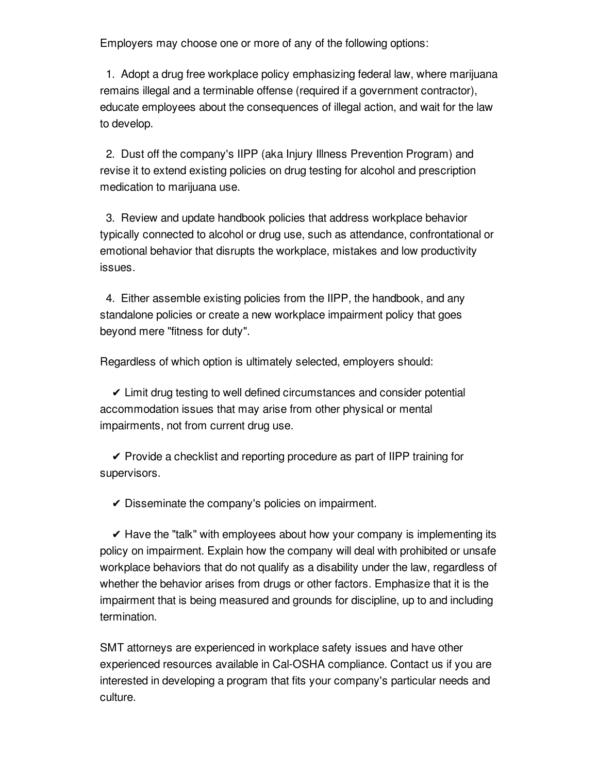Employers may choose one or more of any of the following options:

 1. Adopt a drug free workplace policy emphasizing federal law, where marijuana remains illegal and a terminable offense (required if a government contractor), educate employees about the consequences of illegal action, and wait for the law to develop.

 2. Dust off the company's IIPP (aka Injury Illness Prevention Program) and revise it to extend existing policies on drug testing for alcohol and prescription medication to marijuana use.

 3. Review and update handbook policies that address workplace behavior typically connected to alcohol or drug use, such as attendance, confrontational or emotional behavior that disrupts the workplace, mistakes and low productivity issues.

 4. Either assemble existing policies from the IIPP, the handbook, and any standalone policies or create a new workplace impairment policy that goes beyond mere "fitness for duty".

Regardless of which option is ultimately selected, employers should:

 ✔ Limit drug testing to well defined circumstances and consider potential accommodation issues that may arise from other physical or mental impairments, not from current drug use.

 ✔ Provide a checklist and reporting procedure as part of IIPP training for supervisors.

 $\triangledown$  Disseminate the company's policies on impairment.

 $\blacktriangleright$  Have the "talk" with employees about how your company is implementing its policy on impairment. Explain how the company will deal with prohibited or unsafe workplace behaviors that do not qualify as a disability under the law, regardless of whether the behavior arises from drugs or other factors. Emphasize that it is the impairment that is being measured and grounds for discipline, up to and including termination.

SMT attorneys are experienced in workplace safety issues and have other experienced resources available in Cal-OSHA compliance. Contact us if you are interested in developing a program that fits your company's particular needs and culture.